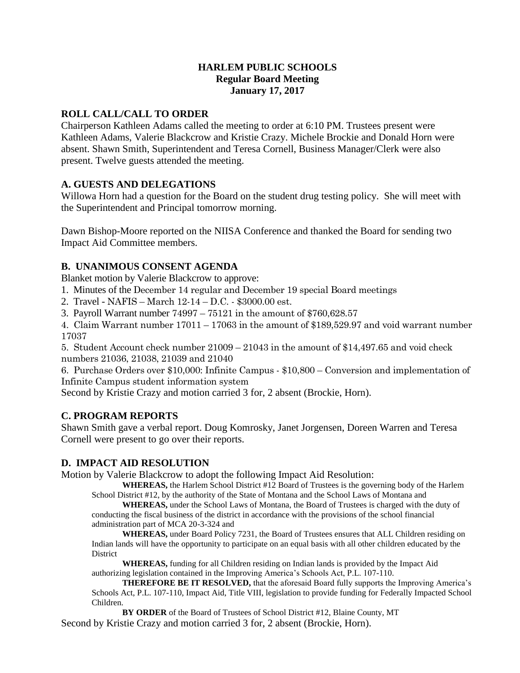### **HARLEM PUBLIC SCHOOLS Regular Board Meeting January 17, 2017**

### **ROLL CALL/CALL TO ORDER**

Chairperson Kathleen Adams called the meeting to order at 6:10 PM. Trustees present were Kathleen Adams, Valerie Blackcrow and Kristie Crazy. Michele Brockie and Donald Horn were absent. Shawn Smith, Superintendent and Teresa Cornell, Business Manager/Clerk were also present. Twelve guests attended the meeting.

## **A. GUESTS AND DELEGATIONS**

Willowa Horn had a question for the Board on the student drug testing policy. She will meet with the Superintendent and Principal tomorrow morning.

Dawn Bishop-Moore reported on the NIISA Conference and thanked the Board for sending two Impact Aid Committee members.

## **B. UNANIMOUS CONSENT AGENDA**

Blanket motion by Valerie Blackcrow to approve:

1. Minutes of the December 14 regular and December 19 special Board meetings

2. Travel - NAFIS – March 12-14 – D.C. - \$3000.00 est.

3. Payroll Warrant number 74997 – 75121 in the amount of \$760,628.57

4. Claim Warrant number 17011 – 17063 in the amount of \$189,529.97 and void warrant number 17037

5. Student Account check number 21009 – 21043 in the amount of \$14,497.65 and void check numbers 21036, 21038, 21039 and 21040

6. Purchase Orders over \$10,000: Infinite Campus - \$10,800 – Conversion and implementation of Infinite Campus student information system

Second by Kristie Crazy and motion carried 3 for, 2 absent (Brockie, Horn).

# **C. PROGRAM REPORTS**

Shawn Smith gave a verbal report. Doug Komrosky, Janet Jorgensen, Doreen Warren and Teresa Cornell were present to go over their reports.

### **D. IMPACT AID RESOLUTION**

Motion by Valerie Blackcrow to adopt the following Impact Aid Resolution:

**WHEREAS,** the Harlem School District #12 Board of Trustees is the governing body of the Harlem School District #12, by the authority of the State of Montana and the School Laws of Montana and

**WHEREAS,** under the School Laws of Montana, the Board of Trustees is charged with the duty of conducting the fiscal business of the district in accordance with the provisions of the school financial administration part of MCA 20-3-324 and

**WHEREAS,** under Board Policy 7231, the Board of Trustees ensures that ALL Children residing on Indian lands will have the opportunity to participate on an equal basis with all other children educated by the District

**WHEREAS,** funding for all Children residing on Indian lands is provided by the Impact Aid authorizing legislation contained in the Improving America's Schools Act, P.L. 107-110.

**THEREFORE BE IT RESOLVED,** that the aforesaid Board fully supports the Improving America's Schools Act, P.L. 107-110, Impact Aid, Title VIII, legislation to provide funding for Federally Impacted School Children.

**BY ORDER** of the Board of Trustees of School District #12, Blaine County, MT Second by Kristie Crazy and motion carried 3 for, 2 absent (Brockie, Horn).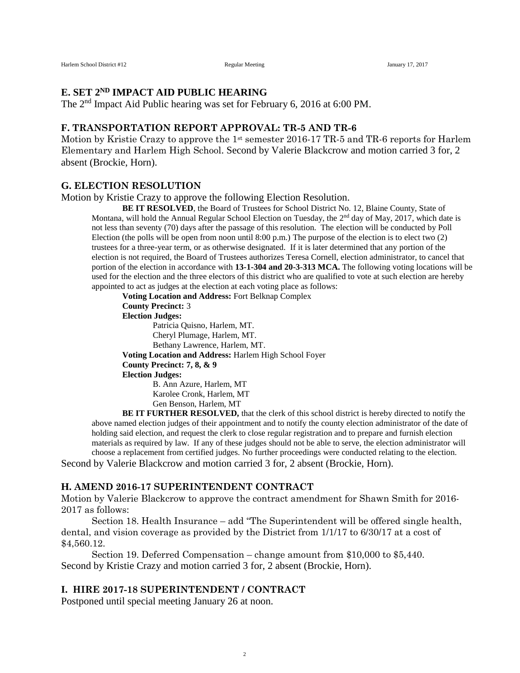## **E. SET 2ND IMPACT AID PUBLIC HEARING**

The 2nd Impact Aid Public hearing was set for February 6, 2016 at 6:00 PM.

#### **F. TRANSPORTATION REPORT APPROVAL: TR-5 AND TR-6**

Motion by Kristie Crazy to approve the 1<sup>st</sup> semester 2016-17 TR-5 and TR-6 reports for Harlem Elementary and Harlem High School. Second by Valerie Blackcrow and motion carried 3 for, 2 absent (Brockie, Horn).

#### **G. ELECTION RESOLUTION**

Motion by Kristie Crazy to approve the following Election Resolution.

**BE IT RESOLVED**, the Board of Trustees for School District No. 12, Blaine County, State of Montana, will hold the Annual Regular School Election on Tuesday, the 2<sup>nd</sup> day of May, 2017, which date is not less than seventy (70) days after the passage of this resolution. The election will be conducted by Poll Election (the polls will be open from noon until 8:00 p.m.) The purpose of the election is to elect two (2) trustees for a three-year term, or as otherwise designated. If it is later determined that any portion of the election is not required, the Board of Trustees authorizes Teresa Cornell, election administrator, to cancel that portion of the election in accordance with **13-1-304 and 20-3-313 MCA.** The following voting locations will be used for the election and the three electors of this district who are qualified to vote at such election are hereby appointed to act as judges at the election at each voting place as follows:

**Voting Location and Address:** Fort Belknap Complex **County Precinct:** 3 **Election Judges:** Patricia Quisno, Harlem, MT. Cheryl Plumage, Harlem, MT. Bethany Lawrence, Harlem, MT. **Voting Location and Address:** Harlem High School Foyer **County Precinct: 7, 8, & 9 Election Judges:** B. Ann Azure, Harlem, MT Karolee Cronk, Harlem, MT Gen Benson, Harlem, MT

**BE IT FURTHER RESOLVED,** that the clerk of this school district is hereby directed to notify the above named election judges of their appointment and to notify the county election administrator of the date of holding said election, and request the clerk to close regular registration and to prepare and furnish election materials as required by law. If any of these judges should not be able to serve, the election administrator will choose a replacement from certified judges. No further proceedings were conducted relating to the election.

Second by Valerie Blackcrow and motion carried 3 for, 2 absent (Brockie, Horn).

#### **H. AMEND 2016-17 SUPERINTENDENT CONTRACT**

Motion by Valerie Blackcrow to approve the contract amendment for Shawn Smith for 2016- 2017 as follows:

Section 18. Health Insurance – add "The Superintendent will be offered single health, dental, and vision coverage as provided by the District from 1/1/17 to 6/30/17 at a cost of \$4,560.12.

Section 19. Deferred Compensation – change amount from \$10,000 to \$5,440. Second by Kristie Crazy and motion carried 3 for, 2 absent (Brockie, Horn).

#### **I. HIRE 2017-18 SUPERINTENDENT / CONTRACT**

Postponed until special meeting January 26 at noon.